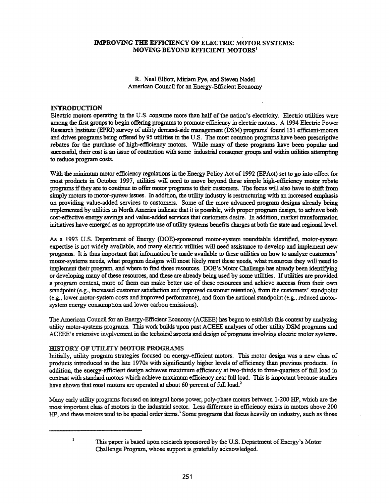# IMPROVING THE EFFICIENCY OF ELECTRIC MOTOR SYSTEMS: MOVING BEYOND EFFICIENT MOTORS!

R. Neal Elliott, Miriam Pye, and Steven Nadel American Council for an Energy-Efficient Economy

### INTRODUCTION

Electric motors operating in the U.S. consume more than half of the nation's electricity. Electric utilities were among the first groups to begin offering programs to promote efficiency in electric motors. A 1994 Electric Power Research Institute (EPRI) survey of utility demand-side management (DSM) programs<sup>1</sup> found 151 efficient-motors and drives programs being offered by 95 utilities in the U.S. The most common programs have been prescriptive rebates for the purchase of high-efficiency motors. While many of these programs have been popular and successful, their cost is an issue of contention with some industrial consumer groups and within utilities attempting to reduce program costs.

With the minimum motor efficiency regulations in the Energy Policy Act of 1992 (EPAct) set to go into effect for most products in October 1997, utilities will need to move beyond these simple high-efficiency motor rebate programs ifthey are to continue to offer motor programs to their customers. The focus will also have to shift from simply motors to motor-system issues. In addition, the utility industry is restructuring with an increased emphasis on providing value-added services to customers. Some of the more advanced program designs already being implemented by utilities in North America indicate that it is possible, with proper program design, to achieve both cost-effective energy savings and value-added services that customers desire. In addition, market transformation initiatives have emerged as an appropriate use ofutility systems benefits charges at both the state and regional level.

As a 1993 U.S. Department of Energy (DOE)-sponsored motor-system roundtable identified, motor-system expertise is not widely available, and many electric utilities will need assistance to develop and implement new programs. It is thus important that information be made available to these utilities on how to analyze customers' motor-systems needs, what program designs will most likely meet these needs, what resources they will need to implement their program, and where to find those resources. DOE's Motor Challenge has already been identifying or developing many ofthese resources, and these are already being used by some utilities. Ifutilities are provided a program context, more of them can make better use of these resources and achieve success from their own standpoint (e.g., increased customer satisfaction and improved customer retention), from the customers' standpoint (e.g., lower motor-system costs and improved performance), and from the national standpoint (e.g., reduced motorsystem energy consumption and lower carbon emissions).

The American Council for an Energy-Efficient Economy (ACEEE) has begun to establish this context by analyzing utility motor-systems programs. This work builds upon past ACEEE analyses ofother utility DSM programs and ACEEE's extensive involvement in the technical aspects and design of programs involving electric motor systems.

### HISTORY OF UTILITY MOTOR PROGRAMS

Initially, utility program strategies focused on energy-efficient motors. This motor design was a new class of products introduced in the late 1970s with significantly higher levels of efficiency than previous products. In addition, the energy-efficient design achieves maximum efficiency at two-thirds to three-quarters of full load in contrast with standard motors which achieve maximum efficiency near full load. This is important because studies have shown that most motors are operated at about 60 percent of full load.<sup>2</sup>

Many early utility programs focused on integral horse power, poly-phase motors between 1-200 lIP, which are the most important class ofmotors in the industrial sector. Less difference in efficiency exists in motors above 200 lIP, and these motors tend to be special order items.<sup>3</sup> Some programs that focus heavily on industry, such as those

 $\mathbf{1}$ 

This paper is based upon research sponsored by the U.S. Department of Energy's Motor Challenge Program, whose support is gratefully acknowledged.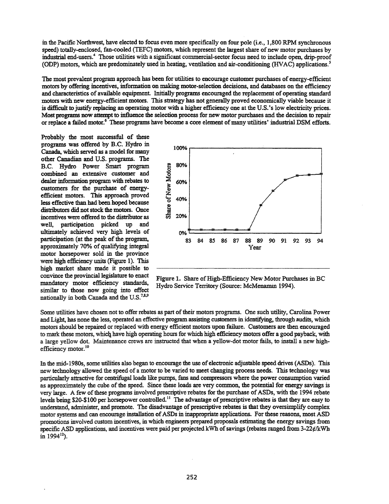in the Pacific Northwest, have elected to focus even more specifically on four pole (i.e., 1,800 RPM synchronous speed) totally-enclosed, fan-cooled (TEFC) motors, which represent the largest share of new motor purchases by industrial end-users.<sup>4</sup> Those utilities with a significant commercial-sector focus need to include open, drip-proof (ODP) motors, which are predominately used in heating, ventilation and air-conditioning (HVAC) applications. *<sup>S</sup>*

The most prevalent program approach has been for utilities to encourage customer purchases of energy-efficient motors by offering incentives, information on making motor-selection decisions, and databases on the efficiency and characteristics of available equipment. Initially programs encouraged the replacement of operating standard motors with new energy-efficient motors. This strategy has not generally proved economically viable because it is difficult to justify replacing an operating motor with a higher efficiency one at the U.S.'s low electricity prices. Most programs now attempt to influence the selection process for new motor purchases and the decision to repair or replace a failed motor.<sup>6</sup> These programs have become a core element of many utilities' industrial DSM efforts.

Probably the most successful of these programs was offered by B.C. Hydro in Canada, which served as a model for many other Canadian and U.S. programs. The B.C. Hydro Power Smart program combined an extensive customer and dealer information program with rebates to customers for the purchase of energyefficient motors. This approach proved less effective than had been hoped because distributors did not stock the motors. Once incentives were offered to the distributor as well, participation picked up and ultimately achieved very high levels of participation (at the peak of the program, approximately 70% of qualifying integral motor horsepower sold in the province were high efficiency units (Figure 1). This high market share made it possible to convince the provincial legislature to enact mandatory motor efficiency standards, similar to those now going into effect nationally in both Canada and the U.S.<sup>7,8,9</sup>



Figure 1. Share of High-Efficiency New Motor Purchases in BC Hydro Service Territory (Source: McMenamin 1994).

Some utilities have chosen not to offer rebates as part of their motors programs. One such utility, Carolina Power and Light, has none the less, operated an effective program assisting customers in identifying, through audits, which motors should be repaired or replaced with energy efficient motors upon failure. Customers are then encouraged to mark these motors, which have high operating hours for which high efficiency motors offer a good payback, with a large yellow dot. Maintenance crews are instructed that when a yellow-dot motor fails, to install a new highefficiency motor.<sup>10</sup>

In the mid-1980s, some utilities also began to encourage the use of electronic adjustable speed drives (ASDs). This new technology allowed the speed of a motor to be varied to meet changing process needs. This technology was particularly attractive for centrifugal loads like pumps, fans and compressors where the power consumption varied as approximately the cube of the speed. Since these loads are very common, the potential for energy savings is very large. A few of these programs involved prescriptive rebates for the purchase of ASDs, with the 1994 rebate levels being \$20-\$100 per horsepower controlled.<sup>11</sup> The advantage of prescriptive rebates is that they are easy to understand, administer, and promote. The disadvantage of prescriptive rebates is that they oversimplify complex motor systems and can encourage installation of ASDs in inappropriate applications. For these reasons, most ASD promotions involved custom incentives, in which engineers prepared proposals estimating the energy savings from specific ASD applications, and incentives were paid per projected kWh of savings (rebates ranged from 3-22¢/kWh in 1994 $12$ ).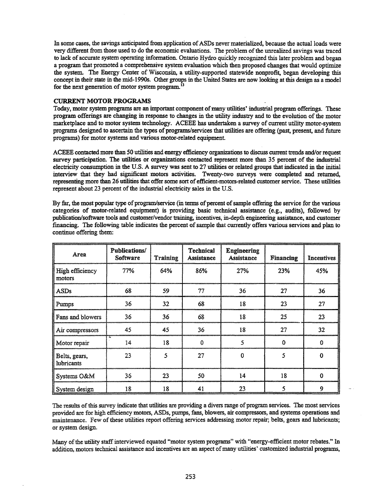In some cases, the savings anticipated from application of ASDs never materialized, because the actual loads were very different from those used to do the economic evaluations. The problem of the unrealized savings was traced to lack of accurate system operating information. Ontario Hydro quickly recognized this later problem and began a program that promoted a comprehensive system evaluation which then proposed changes that would optimize the system. The Energy Center of Wisconsin, a utility-supported statewide nonprofit, began developing this concept in their state in the mid-1990s. Other groups in the United States are now looking at this design as a model for the next generation of motor system program.<sup>13</sup>

### CURRENT MOTOR PROGRAMS

Today, motor system programs are an important component of many utilities' industrial program offerings. These program offerings are changing in response to changes in the utility industry and to the evolution ofthe motor marketplace and to motor system technology. ACEEE has undertaken a survey of current utility motor-system programs designed to ascertain the types of programs/services that utilities are offering (past, present, and future programs) for motor systems and various motor-related equipment

ACEEE contacted more than 50 utilities and energy efficiency organizations to discuss current trends andlor request survey participation. The utilities or organizations contacted represent more than 35 percent of the industrial electricity consumption in the U.S. A survey was sent to 27 utilities or related groups that indicated in the initial interview that they had significant motors activities. Twenty-two surveys were completed and returned, representing more than 26 utilities that offer some sort ofefficient-motors-related customer service. These utilities represent about 23 percent of the industrial electricity sales in the U.S.

By far, the most popular type of program/service (in terms of percent of sample offering the service for the various categories of motor-related equipment) is providing basic technical assistance (e.g., audits), followed by publication/software tools and customer/vendor training, incentives, in-depth engineering assistance, and customer financing. The following table indicates the percent of sample that currently offers various services and plan to continue offering them:

| Area                               | <b>Publications/</b><br><b>Software</b> | <b>Training</b> | <b>Technical</b><br><b>Assistance</b> | <b>Engineering</b><br><b>Assistance</b> | <b>Financing</b> | <b>Incentives</b> |
|------------------------------------|-----------------------------------------|-----------------|---------------------------------------|-----------------------------------------|------------------|-------------------|
| High efficiency<br>motors          | 77%                                     | 64%             | 86%                                   | 27%                                     | 23%              | 45%               |
| <b>ASDs</b>                        | 68                                      | 59              | 77                                    | 36                                      | 27               | 36                |
| Pumps                              | 36                                      | 32              | 68                                    | 18                                      | 23               | 27                |
| Fans and blowers                   | 36                                      | 36              | 68                                    | 18                                      | 25               | 23                |
| Air compressors                    | 45                                      | 45              | 36                                    | 18                                      | 27               | 32                |
| Motor repair                       | 14                                      | 18              | $\Omega$                              | 5                                       | $\mathbf 0$      | $\bf{0}$          |
| Belts, gears,<br><i>lubricants</i> | 23                                      | 5               | 27                                    | $\bf{0}$                                | 5                | $\bf{0}$          |
| Systems O&M                        | 35                                      | 23              | 50                                    | 14                                      | 18               | $\mathbf 0$       |
| System design                      | 18                                      | 18              | 41                                    | 23                                      | 5                | 9                 |

The results of this survey indicate that utilities are providing a divers range of program services. The most services provided are for high efficiency motors, ASDs, pumps, fans, blowers, air compressors, and systems operations and maintenance. Few ofthese utilities report offering services addressing motor repair; belts, gears and lubricants; or system design.

Many of the utility staff interviewed equated "motor system programs" with "energy-efficient motor rebates." In addition, motors technical assistance and incentives are an aspect of many utilities' customized industrial programs,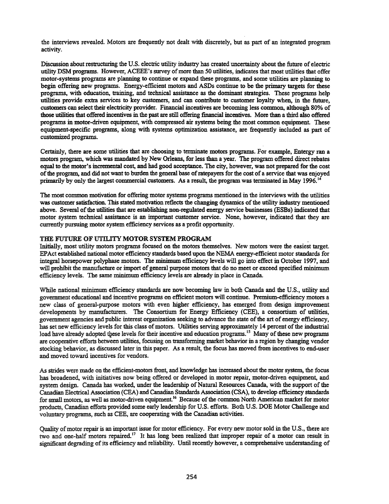the interviews revealed. Motors are frequently not dealt with discretely, but as part of an integrated program activity.

Discussion about restructuring the U.S. electric utility industry has created uncertainty about the future of electric utility DSM programs. However, ACEEE's survey of more than 50 utilities, indicates that most utilities that offer motor-systems programs are planning to continue or expand these programs, and some utilities are planning to begin offering new programs. Energy-efficient motors and ASDs continue to be the primary targets for these programs, with education, training, and technical assistance as the dominant strategies. These programs help utilities provide extra services to key customers, and can contnbute to customer loyalty when, in the future, customers can select their electricity provider. Financial incentives are becoming less common, although 80% of those utilities that offered incentives in the past are still offering financial incentives. More than a third also offered programs in motor-driven equipment, with compressed air systems being the most common equipment These equipment-specific programs, along with systems optimization assistance, are frequently included as part of customized programs.

Certainly, there are some utilities that are choosing to terminate motors programs. For example, Entergy ran a motors program, which was mandated by New Orleans, for less than a year. The program offered direct rebates equal to the motor's incremental cost, and had good acceptance. The city, however, was not prepared for the cost ofthe program, and did not want to burden the general base ofratepayers for the cost of a service that was enjoyed primarily by only the largest commercial customers. As a result, the program was terminated in May 1996.<sup>14</sup>

The most common motivation for offering motor systems programs mentioned in the interviews with the utilities was customer satisfaction. This stated motivation reflects the changing dynamics of the utility industry mentioned above. Several of the utilities that are establishing non-regulated energy service businesses (ESBs) indicated that motor system technical assistance is an important customer service. None, however, indicated that they are currently pursuing motor system efficiency services as a profit opportunity.

## THE FUTURE OF UTILITY MOTOR SYSTEM PROGRAM

Initially, most utility motors programs focused on the motors themselves. New motors were the easiest target EPAct established national motor efficiency standards based upon the NEMA energy-efficient motor standards for integral horsepower polyphase motors. The minimum efficiency levels will go into effect in October 1997, and will prohibit the manufacture or import of general purpose motors that do no meet or exceed specified minimum efficiency levels. The same minimum efficiency levels are already in place in Canada.

While national minimum efficiency standards are now becoming law in both Canada and the U.S., utility and government educational and incentive programs on efficient motors will continue. Premium-efficiency motors a new class of general-purpose motors with even higher efficiency, has emerged from design improvement developments by manufacturers. The Consortium for Energy Efficiency (CEE), a consortium of utilities, government agencies and public interest organization seeking to advance the state ofthe art of energy efficiency, has set new efficiency levels for this class of motors. Utilities serving approximately 14 percent of the industrial load have already adopted these levels for their incentive and education programs.<sup>15</sup> Many of these new programs are cooperative efforts between utilities, focusing on transforming market behavior in a region by changing vendor stocking behavior, as discussed later in this paper. As a result, the focus has moved from incentives to end-user and moved toward incentives for vendors.

As strides were made on the efficient-motors front, and knowledge has increased about the motor system, the focus has broadened, with initiatives now being offered or developed in motor repair, motor-driven equipment, and system design. Canada has worked, under the leadership of Natural Resources Canada, with the support of the Canadian Electrical Association (CEA) and Canadian Standards Association (CSA), to develop efficiency standards for small motors, as well as motor-driven equipment.<sup>16</sup> Because of the common North American market for motor products, Canadian efforts provided some early leadership for U.S. efforts. Both U.S. DOE Motor Challenge and voluntary programs, such as CEE, are cooperating with the Canadian activities.

Quality of motor repair is an important issue for motor efficiency. For every new motor sold in the U.S., there are two and one-half motors repaired.<sup>17</sup> It has long been realized that improper repair of a motor can result in significant degrading of its efficiency and reliability. Until recently however, a comprehensive understanding of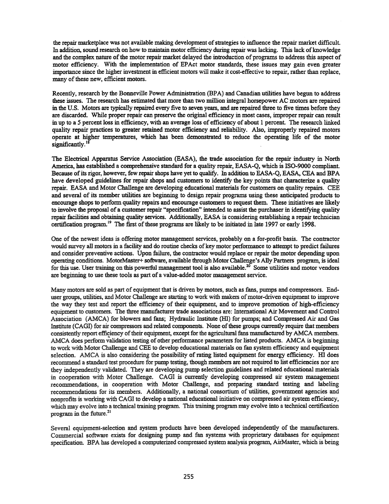the repair marketplace was not available making development of strategies to influence the repair market difficult. In addition, sound research on how to maintain motor efficiency during repair was lacking. This lack of knowledge and the complex nature of the motor repair market delayed the introduction of programs to address this aspect of motor efficiency. With the implementation of EPAct motor standards, these issues may gain even greater importance since the higher investment in efficient motors will make it cost-effective to repair, rather than replace, many of these new, efficient motors.

Recently, research by the Bonneville Power Administration (BPA) and Canadian utilities have begun to address these issues. The research has estimated that more than two million integral horsepower AC motors are repaired in the U.S. Motors are typically repaired every five to seven years, and are repaired three to five times before they are discarded. While proper repair can preserve the original efficiency in most cases, improper repair can result in up to a 5 percent loss in efficiency, with an average loss of efficiency of about 1 percent. The research linked quality repair practices to greater retained motor efficiency and reliability. Also, improperly repaired motors operate at higher temperatures, which has been demonstrated to reduce the operating life of the motor significantly.<sup>18</sup>

The Electrical Apparatus Service Association (EASA), the trade association for the repair industry in North America, has established a comprehensive standard for a quality repair. EASA-Q, which is ISO-9000 compliant. Because of its rigor, however, few repair shops have yet to qualify. In addition to EASA-Q, EASA, CEA and BPA have developed guidelines for repair shops and customers to identify the key points that characterize a quality repair. EASA and Motor Challenge are developing educational materials for customers on quality repairs. CEE and several of its member utilities are beginning to design repair programs using these anticipated products to encourage shops to perform quality repairs and encourage customers to request them. These initiatives are likely to involve the proposal of a customer repair "specification" intended to assist the purchaser in identifying quality repair facilities and obtaining quality services. Additionally, EASA is considering establishing a repair technician certification program.<sup>19</sup> The first of these programs are likely to be initiated in late 1997 or early 1998.

One ofthe newest ideas is offering motor management services, probably on a for-profit basis. The contractor would survey all motors in a facility and do routine checks of key motor performance to attempt to predict failures and consider preventive actions. Upon failure. the contractor would replace or repair the motor depending upon operating conditions. MotorMaster+ software, available through Motor Challenge's Ally Partners program. is ideal for this use. User training on this powerful management tool is also available.<sup>20</sup> Some utilities and motor vendors are beginning to use these tools as part of a value-added motor management service.

Many motors are sold as part of equipment that is driven by motors, such as fans, pumps and compressors. Enduser groups, utilities, and Motor Challenge are starting to work with makers of motor-driven equipment to improve the way they test and report the efficiency of their equipment, and to improve promotion of high-efficiency equipment to customers. The three manufacturer trade associations are: International Air Movement and Control Association (AMCA) for blowers and fans; Hydraulic Institute (HI) for pumps; and Compressed Air and Gas Institute (CAGI) for air compressors and related components. None of these groups currently require that members consistently report efficiency of their equipment, except for the agricultural fans manufactured by AMCA members. AMCA does perform validation testing of other performance parameters for listed products. AMCA is beginning to work with Motor Challenge and CEE to develop educational materials on fan system efficiency and equipment selection. AMCA is also considering the possibility of rating listed equipment for energy efficiency. HI does recommend a standard test procedure for pump testing, though members are not required to list efficiencies nor are they independently validated. They are developing pump selection guidelines and related educational materials in cooperation with Motor Challenge. CAGI is currently developing compressed air system management recommendations. in cooperation with Motor Challenge, and preparing standard testing and labeling recommendations for its members. Additionally, a national consortium of utilities, government agencies and nonprofits is working with CAGI to develop a national educational initiative on compressed air system efficiency, which may evolve into a technical training program. This training program may evolve into a technical certification program in the future.<sup>21</sup>

Several equipment-selection and system products have been developed independently of the manufacturers. Commercial software exists for designing pump and fan systems with proprietary databases for equipment specification. BPA has developed a computerized compressed system analysis program, AirMaster, which is being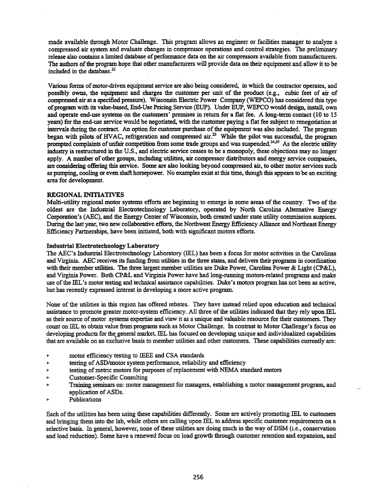made available through Motor Challenge. This program allows an engineer or facilities manager to analyze a compressed air system and evaluate changes in compressor operations and control strategies. The preliminary release also contains a limited database of performance data on the air compressors available from manufacturers. The authors of the program hope that other manufacturers will provide data on their equipment and allow it to be included in the database.<sup>22</sup>

Various forms of motor-driven equipment service are also being considered, in which the contractor operates, and possibly owns, the equipment and charges the customer per unit of the product (e.g., cubic feet of air of compressed air at a specified pressure). Wisconsin Electric Power Company (WEPCO) has considered this type ofprogram with its value-based, End-Use Pricing Service (EUP). Under EUP, WEPCO would design, install, own and operate end-use systems on the customers' premises in return for a flat fee. A long-term contact (10 to 15 years) for the end-use service would be negotiated, with the customer paying a flat fee subject to renegotiation at intervals during the contract. An option for customer purchase of the equipment was also included. The program began with pilots of HVAC, refrigeration and compressed air.<sup>23</sup> While the pilot was successful, the program prompted complaints of unfair competition from some trade groups and was suspended.<sup>24,25</sup> As the electric utility industry is restructured in the U.S., and electric service ceases to be a monopoly, these objections may no longer apply. A number of other groups, including utilities, air compressor distributors and energy service companies, are considering offering this service. Some are also looking beyond compressed air, to other motor services such as pumping, cooling or even shaft horsepower. No examples exist at this time, though this appears to be an exciting area for development.

### REGIONAL INITIATIVES

Multi-utility regional motor systems efforts are beginning to emerge in some areas of the country. Two of the oldest are the Industrial Electtotechnology Laboratory, operated by North Carolina Alternative Energy Corporation's (AEC), and the Energy Center of Wisconsin, both created under state utility commission auspices. During the last year, two new collaborative efforts, the Northwest Energy Efficiency Alliance and Northeast Energy Efficiency Partnerships, have been initiated, both with significant motors efforts.

#### Industrial Electrotechnology Laboratory

The ABC's Industrial Electrotechnology Laboratory (lEL) has been a focus for motor activities in the Carolinas and Virginia. ABC receives its funding from utilities in the three states, and delivers their programs in coordination with their member utilities. The three largest member utilities are Duke Power, Carolina Power & Light (CP&L), and Virginia Power. Both CP&L and Virginia Power have had long-running motors-related programs and make use ofthe IEL's motor testing and technical assistance capabilities. Duke's motors program has not been as active, but has recently expressed interest in developing a more active program.

None of the utilities in this region has offered rebates. They have instead relied upon education and technical assistance to promote greater motor-system efficiency. All three of the utilities indicated that they rely upon IEL as their source of motor systems expertise and view it as a unique and valuable resource for their customers. They count on IEL to obtain value from programs such as Motor Challenge. In contrast to Motor Challenge's focus on developing products for the general market, IEL has focused on developing unique and individualized capabilities that are available on an exclusive basis to member utilities and other customers. These capabilities currently are:

- motor efficiency testing to IEEE and CSA standards
- testing ofASD/motor system performance, reliability and efficiency
- testing of metric motors for purposes of replacement with NEMA standard motors
- Customer-Specific Consulting
- Training seminars on: motor management for managers, establishing a motor management program, and application of ASDs.
- Publications

Each of the utilities has been using these capabilities differently. Some are actively promoting IEL to customers and bringing them into the lab, while others are calling upon IEL to address specific customer requirements on a selective basis. In general, however, none of these utilities are doing much in the way of DSM (i.e., conservation and load reduction). Some have a renewed focus on load growth through customer retention and expansion, and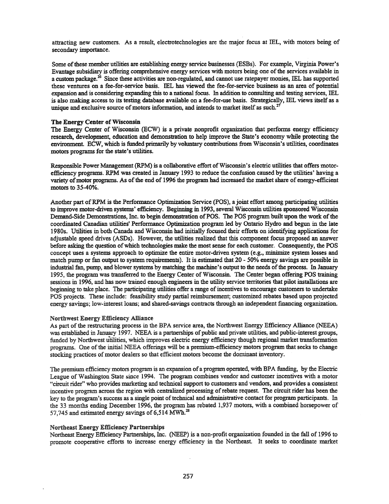attracting new customers. As a result, electrotechnologies are the major focus at IEL, with motors being of secondary importance.

Some of these member utilities are establishing energy service businesses (ESBs). For example, Virginia Power's Evantage subsidiary is offering comprehensive energy services with motors being one of the services available in a custom package.<sup>26</sup> Since these activities are non-regulated, and cannot use ratepayer monies, IEL has supported these ventures on a fee-for-service basis. IEL has viewed the fee-for-service business as an area of potential expansion and is considering expanding this to a national focus. In addition to consulting and testing services, IEL is also making access to its testing database available on a fee-for-use basis. Strategically, IEL views itself as a unique and exclusive source of motors information, and intends to market itself as such.<sup>27</sup>

### The Energy Center of Wisconsin

The Energy Center of Wisconsin (ECW) is a private nonprofit organization that performs energy efficiency research, development, education and demonstration to help improve the State's economy while protecting the environment ECW, which is funded primarily by voluntary contributions from Wisconsin's utilities, coordinates motors programs for the state's utilities.

Responsible Power Management (RPM) is a collaborative effort of Wisconsin's electric utilities that offers motorefficiency programs. RPM was created in January 1993 to reduce the confusion caused by the utilities' having a variety of motor programs. As of the end of 1996 the program had increased the market share of energy-efficient motors to 35-40%.

Another part ofRPM is the Performance Optimization Service (POS), a joint effort among participating utilities to improve motor-driven systems' efficiency. Beginning in 1993, several Wisconsin utilities sponsored Wisconsin Demand-Side Demonstrations, Inc. to begin demonstration of POS. The POS program built upon the work of the coordinated Canadian utilities' Performance Optimization program led by Ontario Hydro and begun in the late 1980s. Utilities in both Canada and Wisconsin had initially focused their efforts on identifying applications for adjustable speed drives (ASDs). However, the utilities realized that this component focus proposed an answer before asking the question of which technologies make the most sense for each customer. Consequently, the POS concept uses a systems approach to optimize the entire motor-driven system (e.g., minimize system losses and match pump or fan output to system requirements). It is estimated that 20 - 50% energy savings are possible in industrial fan, pump, and blower systems by matching the machine's output to the needs ofthe process. In January 1995, the program was transferred to the Energy Center of Wisconsin. The Center began offering POS training sessions in 1996, and has now trained enough engineers in the utility service territories that pilot installations are beginning to take place. The participating utilities offer a range ofincentives to encourage customers to undertake POS projects. These include: feasibility study partial reimbursement; customized rebates based upon projected energy savings; low-interest loans; and shared-savings contracts through an independent financing organization.

### Northwest Energy Efficiency Alliance

As part of the restructuring process in the BPA service area, the Northwest Energy Efficiency Alliance (NEEA) was established in January 1997. NEEA is a partnerships of public and private utilities, and public-interest groups, funded by Northwest utilities, which improves electric energy efficiency though regional market transformation programs. One of the initial NEEA offerings will be a premium-efficiency motors program that seeks to change stocking practices of motor dealers so that efficient motors become the dominant inventory.

The premium efficiency motors program is an expansion of a program operated, with BPA funding, by the Electric League of Washington State since 1994. The program combines vendor and customer incentives 'with a motor "circuit rider" who provides marketing and technical support to customers and vendors, and provides a consistent incentive program across the region with centralized processing of rebate request. The circuit rider has been the key to the program's success as a single point of technical and administrative contact for program participants. In the 33 months ending December 1996, the program has rebated 1,937 motors, with a combined horsepower of 57,745 and estimated energy savings of  $6,514$  MWh.<sup>28</sup>

### Northeast Energy Efficiency Partnerships

Northeast Energy Efficiency Partnerships, mc. (NEEP) is a non-profit organization founded in the fall of 1996 to promote cooperative efforts to increase energy efficiency in the Northeast. It seeks to coordinate market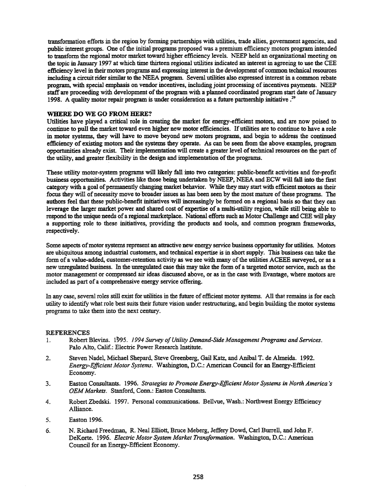transformation efforts in the region by forming partnerships with utilities, trade allies, government agencies, and public interest groups. One of the initial programs proposed was a premium efficiency motors program intended to transform the regional motor market toward higher efficiency levels. NEEP held an organizational meeting on the topic in January 1997 at which time thirteen regional utilities indicated an interest in agreeing to use the CEE efficiency level in their motors programs and expressing interest in the development of common technical resources including a circuit rider similar to the NEEA program. Several utilities also expressed interest in a common rebate program, with special emphasis on vendor incentives, including joint processing ofincentives payments. NEEP staff are proceeding with development of the program with a planned coordinated program start date of January 1998. A quality motor repair program is under consideration as a future partnership initiative  $.^{29}$ 

## WHERE DO WE GO FROM HERE?

Utilities have played a critical role in creating the market for energy-efficient motors, and are now poised to continue to pull the market toward even higher new motor efficiencies. If utilities are to continue to have a role in motor systems, they will have to move beyond new motors programs, and begin to address the continued efficiency of existing motors and the systems they operate. As can be seen from the above examples, program opportunities already exist. Their implementation will create a greater level oftechnical resources on the part of the utility, and greater flexibility in the design and implementation of the programs.

These utility motor-system programs will likely fall into two categories: public-benefit activities and for-profit business opportunities. Activities like those being undertaken by NEEP, NEEA and ECW will fall into the first category with a goal of permanently changing market behavior. While they may start with efficient motors as their focus they will of necessity move to broader issues as has been seen by the most mature of these programs. The authors feel that these public-benefit initiatives will increasingly be formed on a regional basis so that they can leverage the larger market power and shared cost of expertise of a multi-utility region, while still being able to respond to the unique needs of a regional marketplace. National efforts such as Motor Challenge and CEE will play a supporting role to these initiatives, providing the products and tools, and common program frameworks, respectively.

Some aspects of motor systems represent an attractive new energy service business opportunity for utilities. Motors are ubiquitous among industrial customers, and technical expertise is in short supply. This business can take the form of a value-added, customer-retention activity as we see with many of the utilities ACEEE surveyed, or as a new unregulated business. In the unregulated case this may take the form of a targeted motor service, such as the motor management or compressed air ideas discussed above, or as in the case with Evantage, where motors are included as part of a comprehensive energy service offering.

In any case, several roles still exist for utilities in the future of efficient motor systems. All that remains is for each utility to identify what role best suits their future vision under restructuring, and begin building the motor systems programs to take them into the next century.

### REFERENCES

- 1. Robert Blevins. 1~95. 1994 *Survey ofUtility Demand-Side Management Programs and Services.* Palo Alto, Calif.: Electric Power Research Institute.
- 2. Steven Nadel, Michael Shepard, Steve Greenberg, Gail Katz, and Ambal T. de Almeida. 1992. *Energy-Efficient Motor Systems.* Washington, D.C.: American Council for an Energy-Efficient Economy.
- 3. Easton Consultants. 1996. *Strategies to Promote Energy-Efficient Motor Systems in North America's OEMMarkets.* Stanford, Conn.: Easton Consultants.
- 4. Robert Zbedski. 1997. Personal communications. Bellvue, Wash.: Northwest Energy Efficiency Alliance.
- 5. Easton 1996.
- 6. N. Richard Freedman, R. Neal Elliott, Broce Meberg, Jeffery Dowd, Carl Burrell, and John F. DeKorte. 1996. *Electric Motor System Market Transformation.* Washington, D.C.: American Council for an Energy-Efficient Economy.